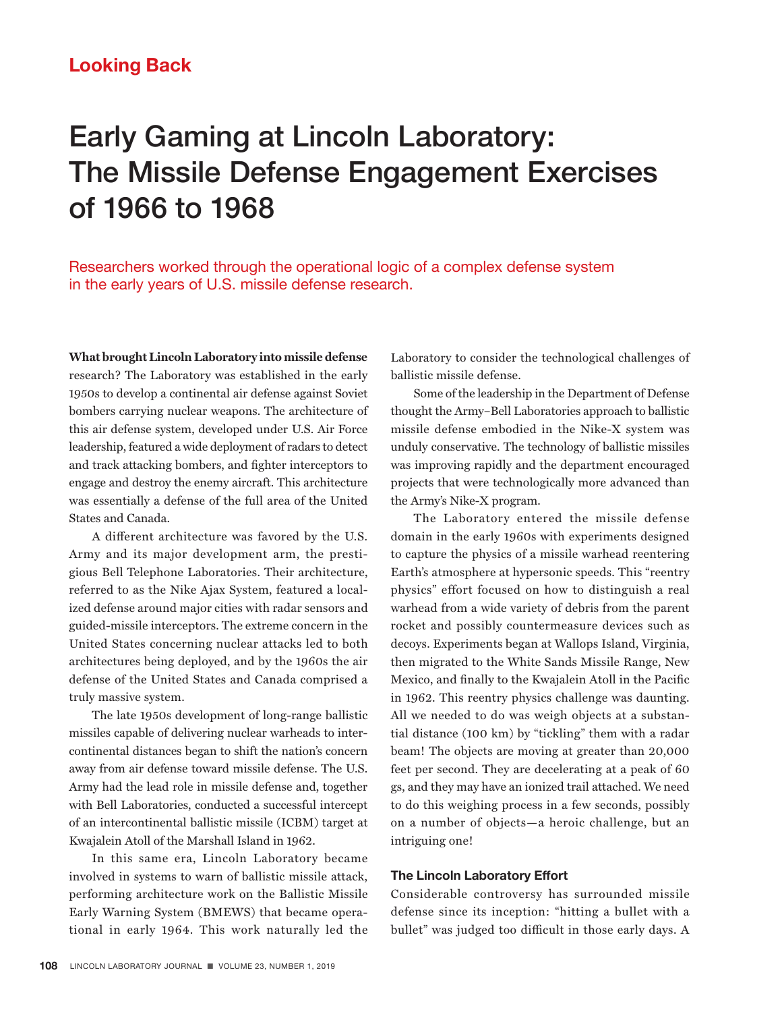# Early Gaming at Lincoln Laboratory: The Missile Defense Engagement Exercises of 1966 to 1968

Researchers worked through the operational logic of a complex defense system in the early years of U.S. missile defense research.

**What brought Lincoln Laboratory into missile defense**  research? The Laboratory was established in the early 1950s to develop a continental air defense against Soviet bombers carrying nuclear weapons. The architecture of this air defense system, developed under U.S. Air Force leadership, featured a wide deployment of radars to detect and track attacking bombers, and fighter interceptors to engage and destroy the enemy aircraft. This architecture was essentially a defense of the full area of the United States and Canada.

A different architecture was favored by the U.S. Army and its major development arm, the prestigious Bell Telephone Laboratories. Their architecture, referred to as the Nike Ajax System, featured a localized defense around major cities with radar sensors and guided-missile interceptors. The extreme concern in the United States concerning nuclear attacks led to both architectures being deployed, and by the 1960s the air defense of the United States and Canada comprised a truly massive system.

The late 1950s development of long-range ballistic missiles capable of delivering nuclear warheads to intercontinental distances began to shift the nation's concern away from air defense toward missile defense. The U.S. Army had the lead role in missile defense and, together with Bell Laboratories, conducted a successful intercept of an intercontinental ballistic missile (ICBM) target at Kwajalein Atoll of the Marshall Island in 1962.

In this same era, Lincoln Laboratory became involved in systems to warn of ballistic missile attack, performing architecture work on the Ballistic Missile Early Warning System (BMEWS) that became operational in early 1964. This work naturally led the

Laboratory to consider the technological challenges of ballistic missile defense.

Some of the leadership in the Department of Defense thought the Army–Bell Laboratories approach to ballistic missile defense embodied in the Nike-X system was unduly conservative. The technology of ballistic missiles was improving rapidly and the department encouraged projects that were technologically more advanced than the Army's Nike-X program.

The Laboratory entered the missile defense domain in the early 1960s with experiments designed to capture the physics of a missile warhead reentering Earth's atmosphere at hypersonic speeds. This "reentry physics" effort focused on how to distinguish a real warhead from a wide variety of debris from the parent rocket and possibly countermeasure devices such as decoys. Experiments began at Wallops Island, Virginia, then migrated to the White Sands Missile Range, New Mexico, and finally to the Kwajalein Atoll in the Pacific in 1962. This reentry physics challenge was daunting. All we needed to do was weigh objects at a substantial distance (100 km) by "tickling" them with a radar beam! The objects are moving at greater than 20,000 feet per second. They are decelerating at a peak of 60 gs, and they may have an ionized trail attached. We need to do this weighing process in a few seconds, possibly on a number of objects—a heroic challenge, but an intriguing one!

#### **The Lincoln Laboratory Effort**

Considerable controversy has surrounded missile defense since its inception: "hitting a bullet with a bullet" was judged too difficult in those early days. A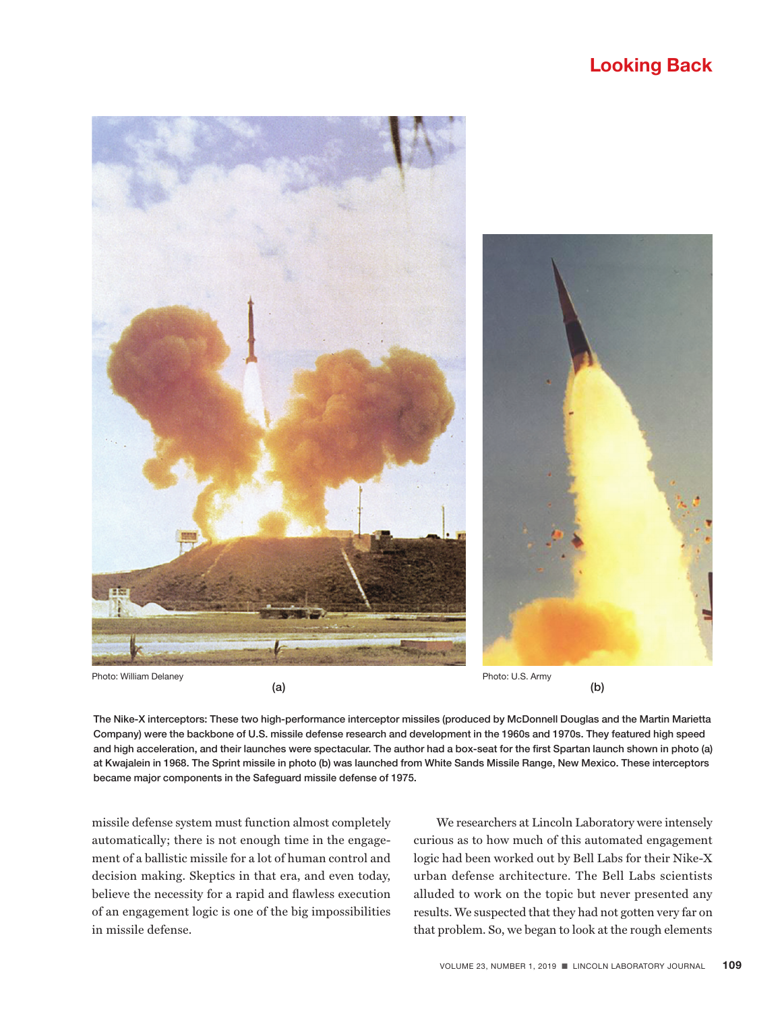

 $(a)$  (b)

The Nike-X interceptors: These two high-performance interceptor missiles (produced by McDonnell Douglas and the Martin Marietta Company) were the backbone of U.S. missile defense research and development in the 1960s and 1970s. They featured high speed and high acceleration, and their launches were spectacular. The author had a box-seat for the first Spartan launch shown in photo (a) at Kwajalein in 1968. The Sprint missile in photo (b) was launched from White Sands Missile Range, New Mexico. These interceptors became major components in the Safeguard missile defense of 1975.

missile defense system must function almost completely automatically; there is not enough time in the engagement of a ballistic missile for a lot of human control and decision making. Skeptics in that era, and even today, believe the necessity for a rapid and flawless execution of an engagement logic is one of the big impossibilities in missile defense.

We researchers at Lincoln Laboratory were intensely curious as to how much of this automated engagement logic had been worked out by Bell Labs for their Nike-X urban defense architecture. The Bell Labs scientists alluded to work on the topic but never presented any results. We suspected that they had not gotten very far on that problem. So, we began to look at the rough elements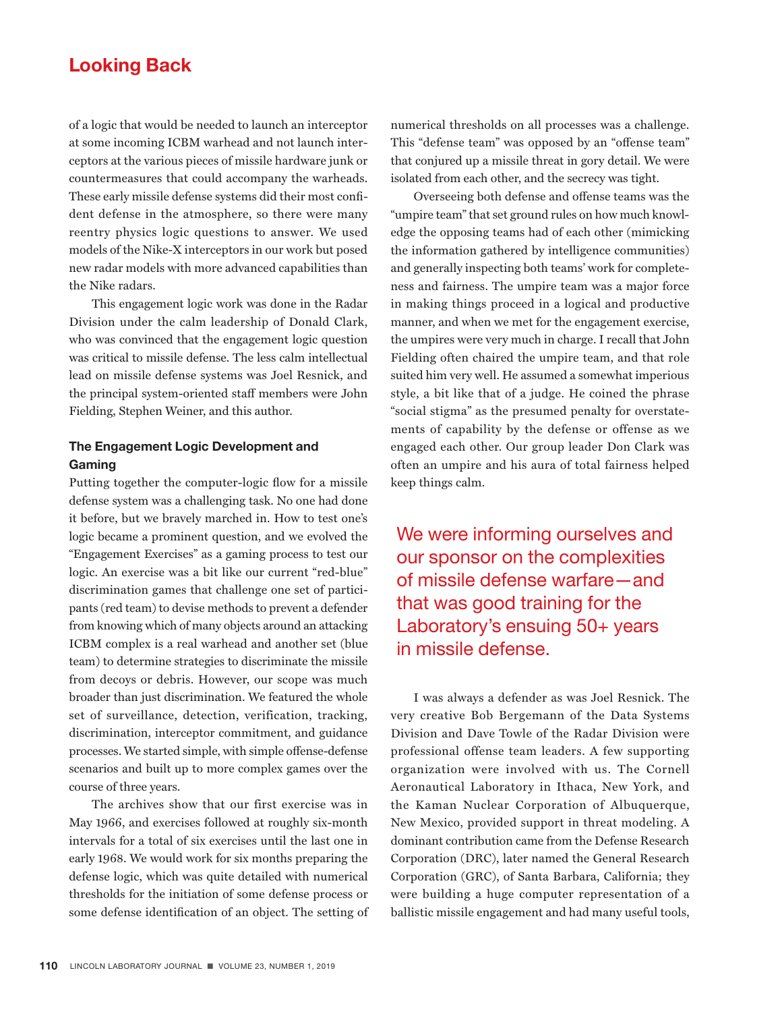of a logic that would be needed to launch an interceptor at some incoming ICBM warhead and not launch interceptors at the various pieces of missile hardware junk or countermeasures that could accompany the warheads. These early missile defense systems did their most confident defense in the atmosphere, so there were many reentry physics logic questions to answer. We used models of the Nike-X interceptors in our work but posed new radar models with more advanced capabilities than the Nike radars.

This engagement logic work was done in the Radar Division under the calm leadership of Donald Clark, who was convinced that the engagement logic question was critical to missile defense. The less calm intellectual lead on missile defense systems was Joel Resnick, and the principal system-oriented staff members were John Fielding, Stephen Weiner, and this author.

### **The Engagement Logic Development and Gaming**

Putting together the computer-logic flow for a missile defense system was a challenging task. No one had done it before, but we bravely marched in. How to test one's logic became a prominent question, and we evolved the "Engagement Exercises" as a gaming process to test our logic. An exercise was a bit like our current "red-blue" discrimination games that challenge one set of participants (red team) to devise methods to prevent a defender from knowing which of many objects around an attacking ICBM complex is a real warhead and another set (blue team) to determine strategies to discriminate the missile from decoys or debris. However, our scope was much broader than just discrimination. We featured the whole set of surveillance, detection, verification, tracking, discrimination, interceptor commitment, and guidance processes. We started simple, with simple offense-defense scenarios and built up to more complex games over the course of three years.

The archives show that our first exercise was in May 1966, and exercises followed at roughly six-month intervals for a total of six exercises until the last one in early 1968. We would work for six months preparing the defense logic, which was quite detailed with numerical thresholds for the initiation of some defense process or some defense identification of an object. The setting of

numerical thresholds on all processes was a challenge. This "defense team" was opposed by an "offense team" that conjured up a missile threat in gory detail. We were isolated from each other, and the secrecy was tight.

Overseeing both defense and offense teams was the "umpire team" that set ground rules on how much knowledge the opposing teams had of each other (mimicking the information gathered by intelligence communities) and generally inspecting both teams' work for completeness and fairness. The umpire team was a major force in making things proceed in a logical and productive manner, and when we met for the engagement exercise, the umpires were very much in charge. I recall that John Fielding often chaired the umpire team, and that role suited him very well. He assumed a somewhat imperious style, a bit like that of a judge. He coined the phrase "social stigma" as the presumed penalty for overstatements of capability by the defense or offense as we engaged each other. Our group leader Don Clark was often an umpire and his aura of total fairness helped keep things calm.

We were informing ourselves and our sponsor on the complexities of missile defense warfare—and that was good training for the Laboratory's ensuing 50+ years in missile defense.

I was always a defender as was Joel Resnick. The very creative Bob Bergemann of the Data Systems Division and Dave Towle of the Radar Division were professional offense team leaders. A few supporting organization were involved with us. The Cornell Aeronautical Laboratory in Ithaca, New York, and the Kaman Nuclear Corporation of Albuquerque, New Mexico, provided support in threat modeling. A dominant contribution came from the Defense Research Corporation (DRC), later named the General Research Corporation (GRC), of Santa Barbara, California; they were building a huge computer representation of a ballistic missile engagement and had many useful tools,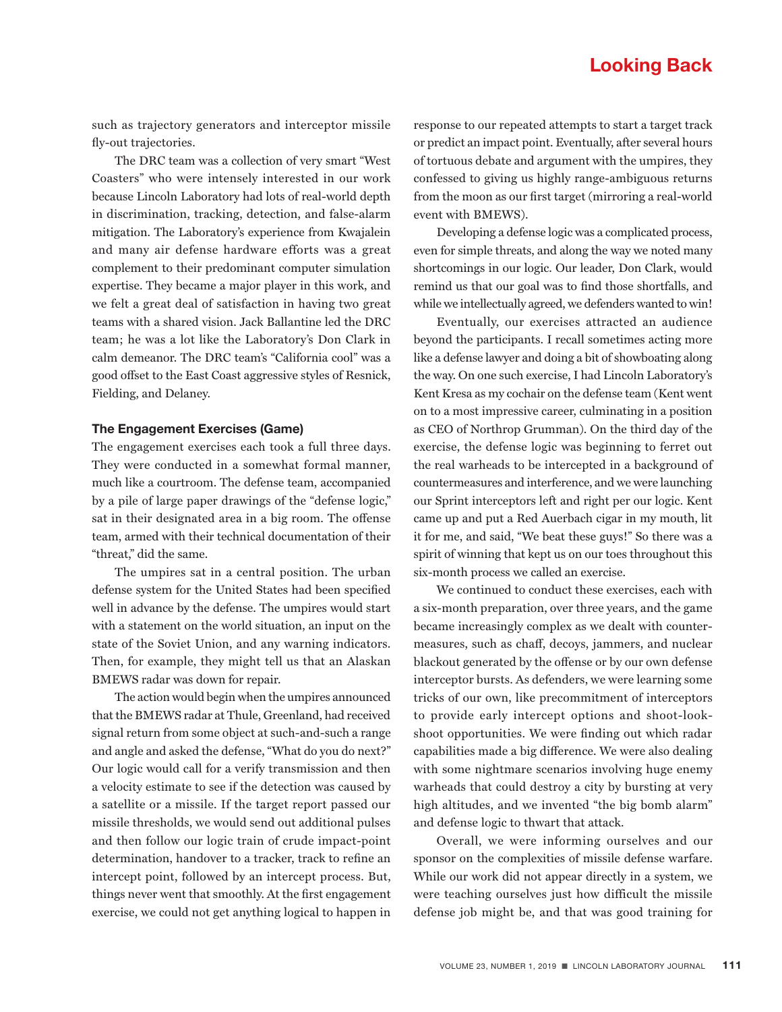such as trajectory generators and interceptor missile fly-out trajectories.

The DRC team was a collection of very smart "West Coasters" who were intensely interested in our work because Lincoln Laboratory had lots of real-world depth in discrimination, tracking, detection, and false-alarm mitigation. The Laboratory's experience from Kwajalein and many air defense hardware efforts was a great complement to their predominant computer simulation expertise. They became a major player in this work, and we felt a great deal of satisfaction in having two great teams with a shared vision. Jack Ballantine led the DRC team; he was a lot like the Laboratory's Don Clark in calm demeanor. The DRC team's "California cool" was a good offset to the East Coast aggressive styles of Resnick, Fielding, and Delaney.

### **The Engagement Exercises (Game)**

The engagement exercises each took a full three days. They were conducted in a somewhat formal manner, much like a courtroom. The defense team, accompanied by a pile of large paper drawings of the "defense logic," sat in their designated area in a big room. The offense team, armed with their technical documentation of their "threat," did the same.

The umpires sat in a central position. The urban defense system for the United States had been specified well in advance by the defense. The umpires would start with a statement on the world situation, an input on the state of the Soviet Union, and any warning indicators. Then, for example, they might tell us that an Alaskan BMEWS radar was down for repair.

The action would begin when the umpires announced that the BMEWS radar at Thule, Greenland, had received signal return from some object at such-and-such a range and angle and asked the defense, "What do you do next?" Our logic would call for a verify transmission and then a velocity estimate to see if the detection was caused by a satellite or a missile. If the target report passed our missile thresholds, we would send out additional pulses and then follow our logic train of crude impact-point determination, handover to a tracker, track to refine an intercept point, followed by an intercept process. But, things never went that smoothly. At the first engagement exercise, we could not get anything logical to happen in

response to our repeated attempts to start a target track or predict an impact point. Eventually, after several hours of tortuous debate and argument with the umpires, they confessed to giving us highly range-ambiguous returns from the moon as our first target (mirroring a real-world event with BMEWS).

Developing a defense logic was a complicated process, even for simple threats, and along the way we noted many shortcomings in our logic. Our leader, Don Clark, would remind us that our goal was to find those shortfalls, and while we intellectually agreed, we defenders wanted to win!

Eventually, our exercises attracted an audience beyond the participants. I recall sometimes acting more like a defense lawyer and doing a bit of showboating along the way. On one such exercise, I had Lincoln Laboratory's Kent Kresa as my cochair on the defense team (Kent went on to a most impressive career, culminating in a position as CEO of Northrop Grumman). On the third day of the exercise, the defense logic was beginning to ferret out the real warheads to be intercepted in a background of countermeasures and interference, and we were launching our Sprint interceptors left and right per our logic. Kent came up and put a Red Auerbach cigar in my mouth, lit it for me, and said, "We beat these guys!" So there was a spirit of winning that kept us on our toes throughout this six-month process we called an exercise.

We continued to conduct these exercises, each with a six-month preparation, over three years, and the game became increasingly complex as we dealt with countermeasures, such as chaff, decoys, jammers, and nuclear blackout generated by the offense or by our own defense interceptor bursts. As defenders, we were learning some tricks of our own, like precommitment of interceptors to provide early intercept options and shoot-lookshoot opportunities. We were finding out which radar capabilities made a big difference. We were also dealing with some nightmare scenarios involving huge enemy warheads that could destroy a city by bursting at very high altitudes, and we invented "the big bomb alarm" and defense logic to thwart that attack.

Overall, we were informing ourselves and our sponsor on the complexities of missile defense warfare. While our work did not appear directly in a system, we were teaching ourselves just how difficult the missile defense job might be, and that was good training for